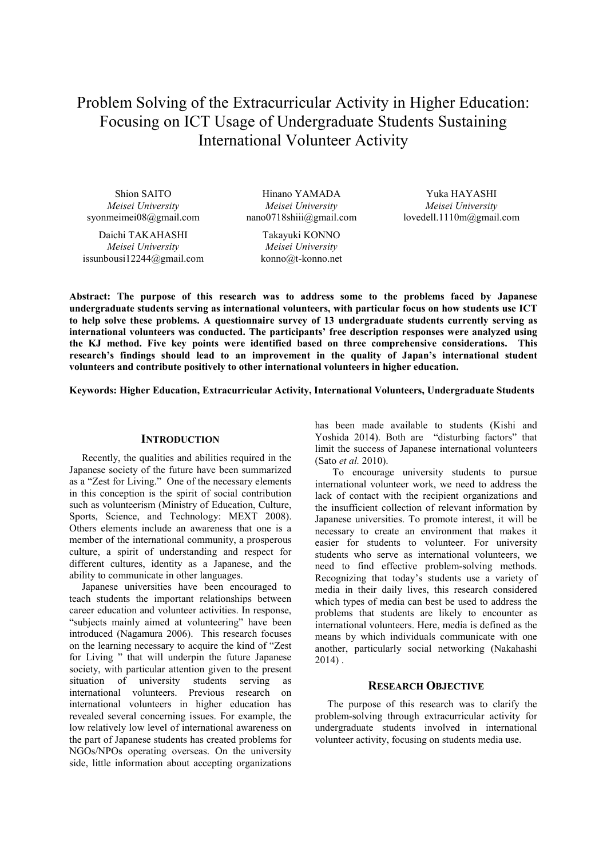Problem Solving of the Extracurricular Activity in Higher Education: Focusing on ICT Usage of Undergraduate Students Sustaining International Volunteer Activity

Shion SAITO *Meisei University* syonmeimei08@gmail.com

Daichi TAKAHASHI *Meisei University* issunbousi12244@gmail.com

Hinano YAMADA *Meisei University* nano0718shiii@gmail.com

> Takayuki KONNO *Meisei University* konno@t-konno.net

Yuka HAYASHI *Meisei University* lovedell.1110m@gmail.com

**Abstract: The purpose of this research was to address some to the problems faced by Japanese undergraduate students serving as international volunteers, with particular focus on how students use ICT to help solve these problems. A questionnaire survey of 13 undergraduate students currently serving as international volunteers was conducted. The participants' free description responses were analyzed using the KJ method. Five key points were identified based on three comprehensive considerations. This research's findings should lead to an improvement in the quality of Japan's international student volunteers and contribute positively to other international volunteers in higher education.** 

**Keywords: Higher Education, Extracurricular Activity, International Volunteers, Undergraduate Students**

## **INTRODUCTION**

Recently, the qualities and abilities required in the Japanese society of the future have been summarized as a "Zest for Living." One of the necessary elements in this conception is the spirit of social contribution such as volunteerism (Ministry of Education, Culture, Sports, Science, and Technology: MEXT 2008). Others elements include an awareness that one is a member of the international community, a prosperous culture, a spirit of understanding and respect for different cultures, identity as a Japanese, and the ability to communicate in other languages.

Japanese universities have been encouraged to teach students the important relationships between career education and volunteer activities. In response, "subjects mainly aimed at volunteering" have been introduced (Nagamura 2006). This research focuses on the learning necessary to acquire the kind of "Zest for Living " that will underpin the future Japanese society, with particular attention given to the present situation of university students serving as international volunteers. Previous research on international volunteers in higher education has revealed several concerning issues. For example, the low relatively low level of international awareness on the part of Japanese students has created problems for NGOs/NPOs operating overseas. On the university side, little information about accepting organizations has been made available to students (Kishi and Yoshida 2014). Both are "disturbing factors" that limit the success of Japanese international volunteers (Sato *et al.* 2010).

 To encourage university students to pursue international volunteer work, we need to address the lack of contact with the recipient organizations and the insufficient collection of relevant information by Japanese universities. To promote interest, it will be necessary to create an environment that makes it easier for students to volunteer. For university students who serve as international volunteers, we need to find effective problem-solving methods. Recognizing that today's students use a variety of media in their daily lives, this research considered which types of media can best be used to address the problems that students are likely to encounter as international volunteers. Here, media is defined as the means by which individuals communicate with one another, particularly social networking (Nakahashi 2014) .

## **RESEARCH OBJECTIVE**

The purpose of this research was to clarify the problem-solving through extracurricular activity for undergraduate students involved in international volunteer activity, focusing on students media use.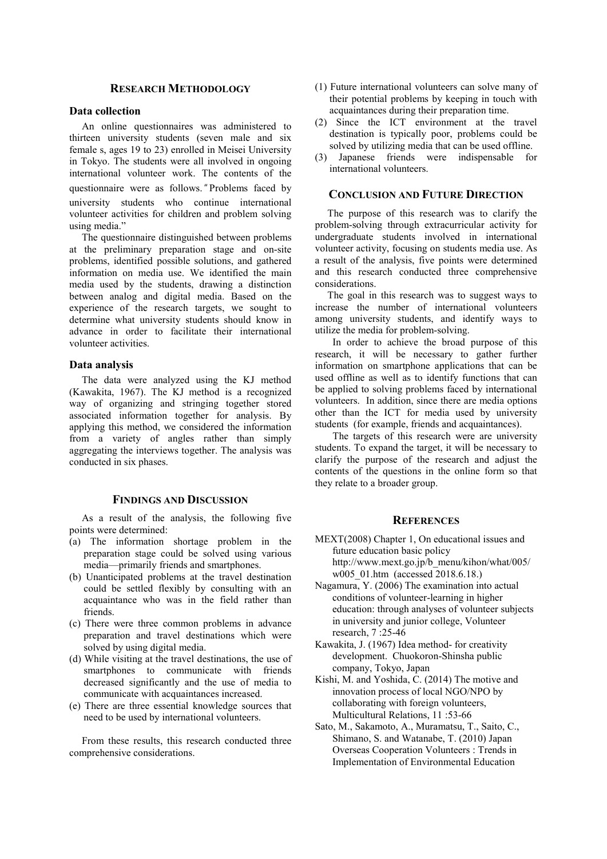# **RESEARCH METHODOLOGY**

## **Data collection**

An online questionnaires was administered to thirteen university students (seven male and six female s, ages 19 to 23) enrolled in Meisei University in Tokyo. The students were all involved in ongoing international volunteer work. The contents of the questionnaire were as follows." Problems faced by university students who continue international volunteer activities for children and problem solving using media."

The questionnaire distinguished between problems at the preliminary preparation stage and on-site problems, identified possible solutions, and gathered information on media use. We identified the main media used by the students, drawing a distinction between analog and digital media. Based on the experience of the research targets, we sought to determine what university students should know in advance in order to facilitate their international volunteer activities.

#### **Data analysis**

The data were analyzed using the KJ method (Kawakita, 1967). The KJ method is a recognized way of organizing and stringing together stored associated information together for analysis. By applying this method, we considered the information from a variety of angles rather than simply aggregating the interviews together. The analysis was conducted in six phases.

# **FINDINGS AND DISCUSSION**

As a result of the analysis, the following five points were determined:

- (a) The information shortage problem in the preparation stage could be solved using various media—primarily friends and smartphones.
- (b) Unanticipated problems at the travel destination could be settled flexibly by consulting with an acquaintance who was in the field rather than friends.
- (c) There were three common problems in advance preparation and travel destinations which were solved by using digital media.
- (d) While visiting at the travel destinations, the use of smartphones to communicate with friends decreased significantly and the use of media to communicate with acquaintances increased.
- (e) There are three essential knowledge sources that need to be used by international volunteers.

From these results, this research conducted three comprehensive considerations.

- (1) Future international volunteers can solve many of their potential problems by keeping in touch with acquaintances during their preparation time.
- (2) Since the ICT environment at the travel destination is typically poor, problems could be solved by utilizing media that can be used offline.
- Japanese friends were indispensable for international volunteers.

#### **CONCLUSION AND FUTURE DIRECTION**

The purpose of this research was to clarify the problem-solving through extracurricular activity for undergraduate students involved in international volunteer activity, focusing on students media use. As a result of the analysis, five points were determined and this research conducted three comprehensive considerations.

The goal in this research was to suggest ways to increase the number of international volunteers among university students, and identify ways to utilize the media for problem-solving.

 In order to achieve the broad purpose of this research, it will be necessary to gather further information on smartphone applications that can be used offline as well as to identify functions that can be applied to solving problems faced by international volunteers. In addition, since there are media options other than the ICT for media used by university students (for example, friends and acquaintances).

 The targets of this research were are university students. To expand the target, it will be necessary to clarify the purpose of the research and adjust the contents of the questions in the online form so that they relate to a broader group.

### **REFERENCES**

- MEXT(2008) Chapter 1, On educational issues and future education basic policy http://www.mext.go.jp/b\_menu/kihon/what/005/ w005\_01.htm (accessed 2018.6.18.)
- Nagamura, Y. (2006) The examination into actual conditions of volunteer-learning in higher education: through analyses of volunteer subjects in university and junior college, Volunteer research, 7 :25-46
- Kawakita, J. (1967) Idea method- for creativity development. Chuokoron-Shinsha public company, Tokyo, Japan
- Kishi, M. and Yoshida, C. (2014) The motive and innovation process of local NGO/NPO by collaborating with foreign volunteers, Multicultural Relations, 11 :53-66
- Sato, M., Sakamoto, A., Muramatsu, T., Saito, C., Shimano, S. and Watanabe, T. (2010) Japan Overseas Cooperation Volunteers : Trends in Implementation of Environmental Education